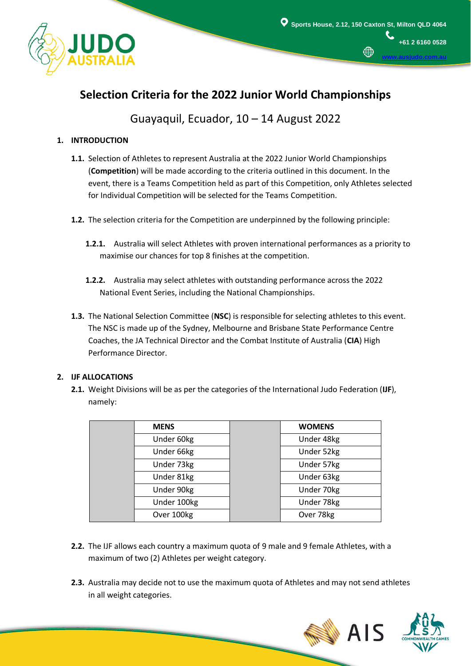

**[www.ausjudo.com.au](http://www.ausjudo.com.au/)**

# **Selection Criteria for the 2022 Junior World Championships**

Guayaquil, Ecuador, 10 – 14 August 2022

# **1. INTRODUCTION**

- **1.1.** Selection of Athletes to represent Australia at the 2022 Junior World Championships (**Competition**) will be made according to the criteria outlined in this document. In the event, there is a Teams Competition held as part of this Competition, only Athletes selected for Individual Competition will be selected for the Teams Competition.
- **1.2.** The selection criteria for the Competition are underpinned by the following principle:
	- **1.2.1.** Australia will select Athletes with proven international performances as a priority to maximise our chances for top 8 finishes at the competition.
	- **1.2.2.** Australia may select athletes with outstanding performance across the 2022 National Event Series, including the National Championships.
- **1.3.** The National Selection Committee (**NSC**) is responsible for selecting athletes to this event. The NSC is made up of the Sydney, Melbourne and Brisbane State Performance Centre Coaches, the JA Technical Director and the Combat Institute of Australia (**CIA**) High Performance Director.

## **2. IJF ALLOCATIONS**

i

**2.1.** Weight Divisions will be as per the categories of the International Judo Federation (**IJF**), namely:

| <b>MENS</b> | <b>WOMENS</b> |
|-------------|---------------|
| Under 60kg  | Under 48kg    |
| Under 66kg  | Under 52kg    |
| Under 73kg  | Under 57kg    |
| Under 81kg  | Under 63kg    |
| Under 90kg  | Under 70kg    |
| Under 100kg | Under 78kg    |
| Over 100kg  | Over 78kg     |

- **2.2.** The IJF allows each country a maximum quota of 9 male and 9 female Athletes, with a maximum of two (2) Athletes per weight category.
- **2.3.** Australia may decide not to use the maximum quota of Athletes and may not send athletes in all weight categories.



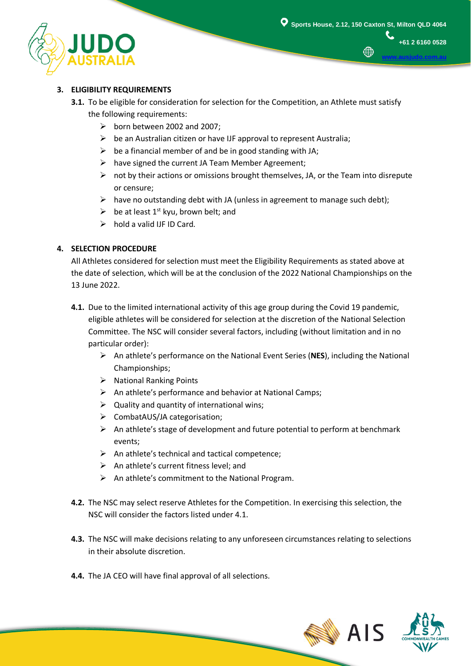

∰

**+61 2 6160 0528**

**[www.ausjudo.com.au](http://www.ausjudo.com.au/)**

### **3. ELIGIBILITY REQUIREMENTS**

- **3.1.** To be eligible for consideration for selection for the Competition, an Athlete must satisfy the following requirements:
	- $\triangleright$  born between 2002 and 2007;
	- $\triangleright$  be an Australian citizen or have IJF approval to represent Australia;
	- $\triangleright$  be a financial member of and be in good standing with JA;
	- $\triangleright$  have signed the current JA Team Member Agreement;
	- $\triangleright$  not by their actions or omissions brought themselves, JA, or the Team into disrepute or censure;
	- $\triangleright$  have no outstanding debt with JA (unless in agreement to manage such debt);
	- $\triangleright$  be at least 1<sup>st</sup> kyu, brown belt; and
	- $\triangleright$  hold a valid IJF ID Card.

#### **4. SELECTION PROCEDURE**

All Athletes considered for selection must meet the Eligibility Requirements as stated above at the date of selection, which will be at the conclusion of the 2022 National Championships on the 13 June 2022.

- **4.1.** Due to the limited international activity of this age group during the Covid 19 pandemic, eligible athletes will be considered for selection at the discretion of the National Selection Committee. The NSC will consider several factors, including (without limitation and in no particular order):
	- An athlete's performance on the National Event Series (**NES**), including the National Championships;
	- $\triangleright$  National Ranking Points
	- $\triangleright$  An athlete's performance and behavior at National Camps;
	- $\triangleright$  Quality and quantity of international wins;
	- CombatAUS/JA categorisation;
	- $\triangleright$  An athlete's stage of development and future potential to perform at benchmark events;
	- $\triangleright$  An athlete's technical and tactical competence;
	- $\triangleright$  An athlete's current fitness level; and
	- $\triangleright$  An athlete's commitment to the National Program.
- **4.2.** The NSC may select reserve Athletes for the Competition. In exercising this selection, the NSC will consider the factors listed under 4.1.
- **4.3.** The NSC will make decisions relating to any unforeseen circumstances relating to selections in their absolute discretion.
- **4.4.** The JA CEO will have final approval of all selections.

i